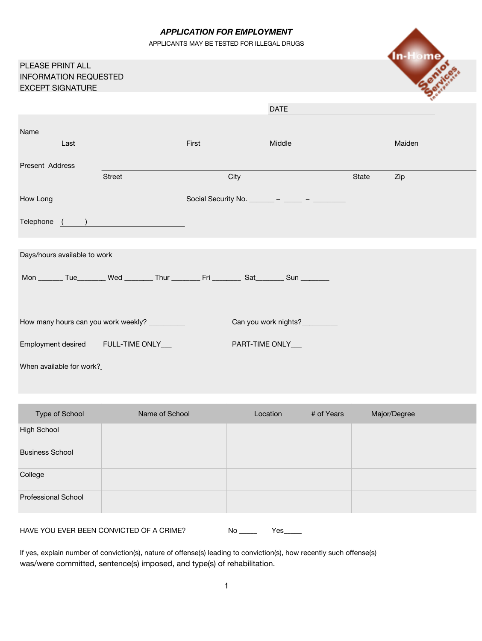### *APPLICATION FOR EMPLOYMENT*

APPLICANTS MAY BE TESTED FOR ILLEGAL DRUGS

|                                                                             |      |                                                                                                                                                                                                                                |       |                                              |       | <b>In-Home</b> |
|-----------------------------------------------------------------------------|------|--------------------------------------------------------------------------------------------------------------------------------------------------------------------------------------------------------------------------------|-------|----------------------------------------------|-------|----------------|
| PLEASE PRINT ALL<br><b>INFORMATION REQUESTED</b><br><b>EXCEPT SIGNATURE</b> |      |                                                                                                                                                                                                                                |       |                                              |       |                |
|                                                                             |      |                                                                                                                                                                                                                                |       | <b>DATE</b>                                  |       |                |
| Name                                                                        |      |                                                                                                                                                                                                                                |       |                                              |       |                |
|                                                                             | Last |                                                                                                                                                                                                                                | First | Middle                                       |       | Maiden         |
| Present Address                                                             |      |                                                                                                                                                                                                                                |       |                                              |       |                |
|                                                                             |      | <b>Street</b>                                                                                                                                                                                                                  | City  |                                              | State | Zip            |
| How Long                                                                    |      | <u> 1990 - Jan Stein Berlin, fransk politik (</u>                                                                                                                                                                              |       | Social Security No. _______ – ____ – _____ – |       |                |
|                                                                             |      | Telephone ( ) and the contract of the contract of the contract of the contract of the contract of the contract of the contract of the contract of the contract of the contract of the contract of the contract of the contract |       |                                              |       |                |
|                                                                             |      |                                                                                                                                                                                                                                |       |                                              |       |                |
| Days/hours available to work                                                |      |                                                                                                                                                                                                                                |       |                                              |       |                |
|                                                                             |      | Mon ________ Tue ________ Wed ________ Thur _________ Fri _________ Sat ________ Sun ________                                                                                                                                  |       |                                              |       |                |
|                                                                             |      |                                                                                                                                                                                                                                |       |                                              |       |                |
|                                                                             |      | How many hours can you work weekly? __________                                                                                                                                                                                 |       | Can you work nights?                         |       |                |
|                                                                             |      | Employment desired FULL-TIME ONLY___                                                                                                                                                                                           |       | PART-TIME ONLY__                             |       |                |
| When available for work?                                                    |      |                                                                                                                                                                                                                                |       |                                              |       |                |

| Type of School             | Name of School | Location | # of Years | Major/Degree |
|----------------------------|----------------|----------|------------|--------------|
| <b>High School</b>         |                |          |            |              |
| <b>Business School</b>     |                |          |            |              |
| College                    |                |          |            |              |
| <b>Professional School</b> |                |          |            |              |
|                            |                |          |            |              |

HAVE YOU EVER BEEN CONVICTED OF A CRIME? No \_\_\_\_\_ Yes\_\_\_\_

If yes, explain number of conviction(s), nature of offense(s) leading to conviction(s), how recently such offense(s) was/were committed, sentence(s) imposed, and type(s) of rehabilitation.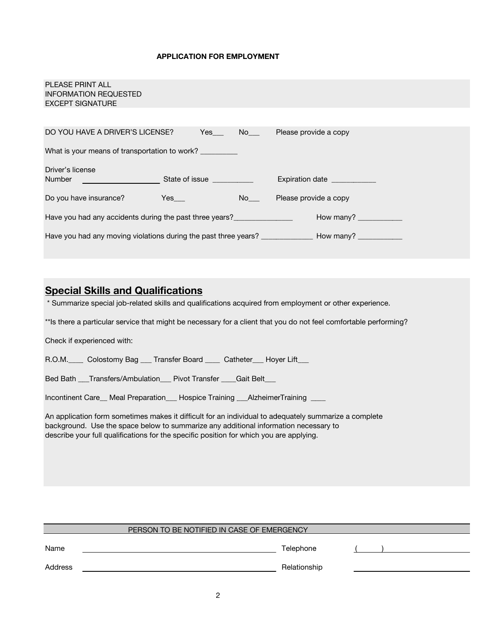#### **APPLICATION FOR EMPLOYMENT**

| PLEASE PRINT ALL<br><b>INFORMATION REQUESTED</b><br><b>EXCEPT SIGNATURE</b>                                                                                                                                                                             |     |                                                                                     |
|---------------------------------------------------------------------------------------------------------------------------------------------------------------------------------------------------------------------------------------------------------|-----|-------------------------------------------------------------------------------------|
|                                                                                                                                                                                                                                                         |     |                                                                                     |
| DO YOU HAVE A DRIVER'S LICENSE?                                                                                                                                                                                                                         |     | The Yes No Please provide a copy                                                    |
| What is your means of transportation to work?                                                                                                                                                                                                           |     |                                                                                     |
| Driver's license<br>Number <u>Constantine Communication</u> State of issue Communication Communication Communication Communication Communication Communication Communication Communication Communication Communication Communication Communication Comm |     | Expiration date ____________                                                        |
| Do you have insurance?                                                                                                                                                                                                                                  | Yes | No Please provide a copy                                                            |
| Have you had any accidents during the past three years?                                                                                                                                                                                                 |     | How many?                                                                           |
|                                                                                                                                                                                                                                                         |     | Have you had any moving violations during the past three years? How many? How many? |
|                                                                                                                                                                                                                                                         |     |                                                                                     |

# **Special Skills and Qualifications**

\* Summarize special job-related skills and qualifications acquired from employment or other experience.

\*\*Is there a particular service that might be necessary for a client that you do not feel comfortable performing?

Check if experienced with:

R.O.M.\_\_\_\_\_ Colostomy Bag \_\_\_ Transfer Board \_\_\_\_\_ Catheter\_\_\_ Hoyer Lift\_\_\_

Bed Bath \_\_\_Transfers/Ambulation\_\_\_ Pivot Transfer \_\_\_\_Gait Belt\_\_\_

Incontinent Care\_\_ Meal Preparation\_\_\_ Hospice Training \_\_\_AlzheimerTraining \_\_\_\_

An application form sometimes makes it difficult for an individual to adequately summarize a complete background. Use the space below to summarize any additional information necessary to describe your full qualifications for the specific position for which you are applying.

| PERSON TO BE NOTIFIED IN CASE OF EMERGENCY |              |  |  |  |  |
|--------------------------------------------|--------------|--|--|--|--|
| Name                                       | Telephone    |  |  |  |  |
| Address                                    | Relationship |  |  |  |  |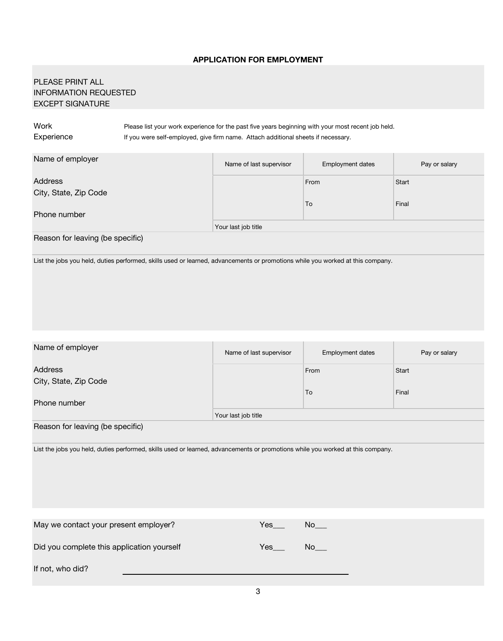## **APPLICATION FOR EMPLOYMENT**

# PLEASE PRINT ALL INFORMATION REQUESTED EXCEPT SIGNATURE

Work Please list your work experience for the past five years beginning with your most recent job held. Experience If you were self-employed, give firm name. Attach additional sheets if necessary.

| Name of employer                                                                                                               | Name of last supervisor | Employment dates | Pay or salary |
|--------------------------------------------------------------------------------------------------------------------------------|-------------------------|------------------|---------------|
| <b>Address</b>                                                                                                                 |                         | From             | Start         |
| City, State, Zip Code                                                                                                          |                         |                  |               |
|                                                                                                                                |                         | To               | Final         |
| Phone number                                                                                                                   |                         |                  |               |
|                                                                                                                                | Your last job title     |                  |               |
| Reason for leaving (be specific)                                                                                               |                         |                  |               |
| List the jobs you held, duties performed, skills used or learned, advancements or promotions while you worked at this company. |                         |                  |               |

| Name of employer                                                                                                               | Name of last supervisor | Employment dates     | Pay or salary |
|--------------------------------------------------------------------------------------------------------------------------------|-------------------------|----------------------|---------------|
| Address                                                                                                                        |                         | From                 | Start         |
| City, State, Zip Code                                                                                                          |                         |                      |               |
|                                                                                                                                |                         | To                   | Final         |
| Phone number                                                                                                                   |                         |                      |               |
|                                                                                                                                | Your last job title     |                      |               |
| Reason for leaving (be specific)                                                                                               |                         |                      |               |
| List the jobs you held, duties performed, skills used or learned, advancements or promotions while you worked at this company. |                         |                      |               |
|                                                                                                                                |                         |                      |               |
| May we contact your present employer?                                                                                          | $Yes$ <sub>____</sub>   | $No$ <sub>____</sub> |               |
| Did you complete this application yourself                                                                                     | Yes                     | No                   |               |
| If not, who did?                                                                                                               |                         |                      |               |